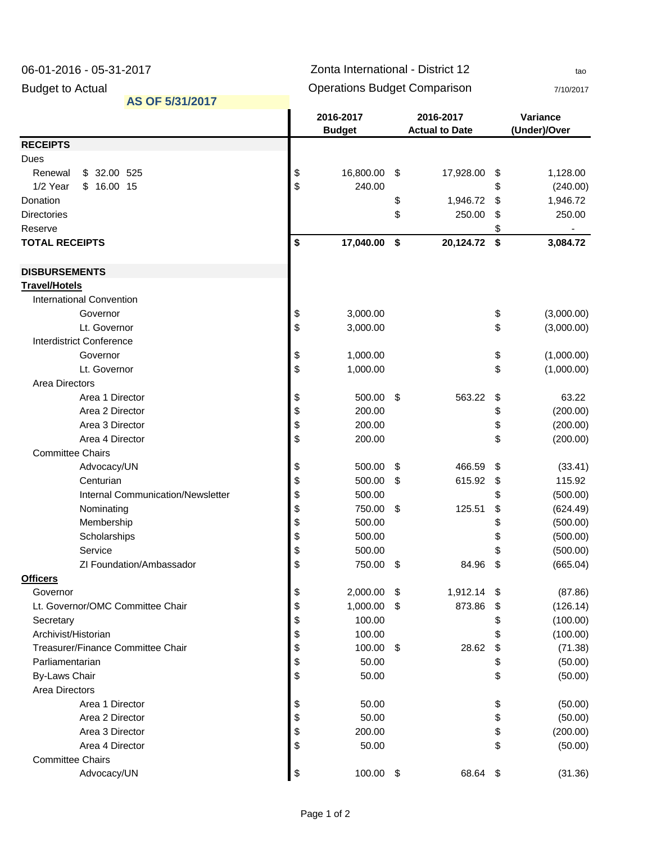| 06-01-2016 - 05-31-2017         |                                     |                                     | Zonta International - District 12 | tao |                                    |                         |                          |
|---------------------------------|-------------------------------------|-------------------------------------|-----------------------------------|-----|------------------------------------|-------------------------|--------------------------|
| <b>Budget to Actual</b>         |                                     | <b>Operations Budget Comparison</b> |                                   |     |                                    |                         | 7/10/2017                |
|                                 | AS OF 5/31/2017                     |                                     |                                   |     |                                    |                         |                          |
|                                 |                                     |                                     | 2016-2017<br><b>Budget</b>        |     | 2016-2017<br><b>Actual to Date</b> |                         | Variance<br>(Under)/Over |
| <b>RECEIPTS</b>                 |                                     |                                     |                                   |     |                                    |                         |                          |
| Dues                            |                                     |                                     |                                   |     |                                    |                         |                          |
| Renewal                         | \$ 32.00 525                        | \$                                  | 16,800.00                         | \$  | 17,928.00                          | \$                      | 1,128.00                 |
| 1/2 Year                        | \$16.0015                           | \$                                  | 240.00                            |     |                                    | \$                      | (240.00)                 |
| Donation                        |                                     |                                     |                                   | \$  | 1,946.72                           | \$                      | 1,946.72                 |
| <b>Directories</b>              |                                     |                                     |                                   | \$  | 250.00                             | \$                      | 250.00                   |
| Reserve                         |                                     |                                     |                                   |     |                                    | \$                      |                          |
| <b>TOTAL RECEIPTS</b>           |                                     | \$                                  | 17,040.00                         | \$  | 20,124.72 \$                       |                         | 3,084.72                 |
| <b>DISBURSEMENTS</b>            |                                     |                                     |                                   |     |                                    |                         |                          |
| <b>Travel/Hotels</b>            |                                     |                                     |                                   |     |                                    |                         |                          |
| <b>International Convention</b> |                                     |                                     |                                   |     |                                    |                         |                          |
|                                 | Governor                            | \$                                  | 3,000.00                          |     |                                    | \$                      | (3,000.00)               |
|                                 | Lt. Governor                        | \$                                  | 3,000.00                          |     |                                    | \$                      | (3,000.00)               |
| <b>Interdistrict Conference</b> |                                     |                                     |                                   |     |                                    |                         |                          |
|                                 | Governor                            | \$                                  | 1,000.00                          |     |                                    | \$                      | (1,000.00)               |
|                                 | Lt. Governor                        | \$                                  | 1,000.00                          |     |                                    | \$                      | (1,000.00)               |
| <b>Area Directors</b>           |                                     |                                     |                                   |     |                                    |                         |                          |
|                                 | Area 1 Director                     | \$                                  | 500.00                            | -\$ | 563.22                             | \$                      | 63.22                    |
|                                 | Area 2 Director                     | \$                                  | 200.00                            |     |                                    | \$                      | (200.00)                 |
|                                 | Area 3 Director                     | \$                                  | 200.00                            |     |                                    | \$                      | (200.00)                 |
|                                 | Area 4 Director                     | \$                                  | 200.00                            |     |                                    | \$                      | (200.00)                 |
| <b>Committee Chairs</b>         |                                     |                                     |                                   |     |                                    |                         |                          |
|                                 | Advocacy/UN                         | \$                                  | 500.00                            | \$  | 466.59                             | \$                      | (33.41)                  |
|                                 | Centurian                           | \$                                  | 500.00                            | \$  | 615.92                             | \$                      | 115.92                   |
|                                 | Internal Communication/Newsletter   | \$                                  | 500.00                            |     |                                    | \$                      | (500.00)                 |
|                                 | Nominating                          | \$                                  | 750.00                            | \$  | 125.51                             | \$                      | (624.49)                 |
|                                 | Membership                          | \$                                  | 500.00                            |     |                                    | \$                      | (500.00)                 |
|                                 | Scholarships                        | \$                                  | 500.00                            |     |                                    |                         | (500.00)                 |
|                                 | Service<br>ZI Foundation/Ambassador | \$<br>\$                            | 500.00<br>750.00                  |     | 84.96                              | \$<br>\$                | (500.00)<br>(665.04)     |
| <b>Officers</b>                 |                                     |                                     |                                   | \$  |                                    |                         |                          |
| Governor                        |                                     | \$                                  | 2,000.00                          | \$  | 1,912.14                           | - \$                    | (87.86)                  |
|                                 | Lt. Governor/OMC Committee Chair    | \$                                  | 1,000.00                          | \$  | 873.86                             | S                       | (126.14)                 |
| Secretary                       |                                     | \$                                  | 100.00                            |     |                                    |                         | (100.00)                 |
| Archivist/Historian             |                                     | \$                                  | 100.00                            |     |                                    | \$                      | (100.00)                 |
|                                 | Treasurer/Finance Committee Chair   | \$                                  | 100.00                            | \$  | 28.62                              | \$                      | (71.38)                  |
| Parliamentarian                 |                                     | \$                                  | 50.00                             |     |                                    |                         | (50.00)                  |
| <b>By-Laws Chair</b>            |                                     | \$                                  | 50.00                             |     |                                    | \$                      | (50.00)                  |
| <b>Area Directors</b>           |                                     |                                     |                                   |     |                                    |                         |                          |
|                                 | Area 1 Director                     | \$                                  | 50.00                             |     |                                    | \$                      | (50.00)                  |
|                                 | Area 2 Director                     | \$                                  | 50.00                             |     |                                    | \$                      | (50.00)                  |
|                                 | Area 3 Director                     | \$                                  | 200.00                            |     |                                    | \$                      | (200.00)                 |
|                                 | Area 4 Director                     | \$                                  | 50.00                             |     |                                    | \$                      | (50.00)                  |
| <b>Committee Chairs</b>         |                                     |                                     |                                   |     |                                    |                         |                          |
|                                 | Advocacy/UN                         | \$                                  | 100.00                            | \$  | 68.64                              | $\sqrt[6]{\frac{1}{2}}$ | (31.36)                  |